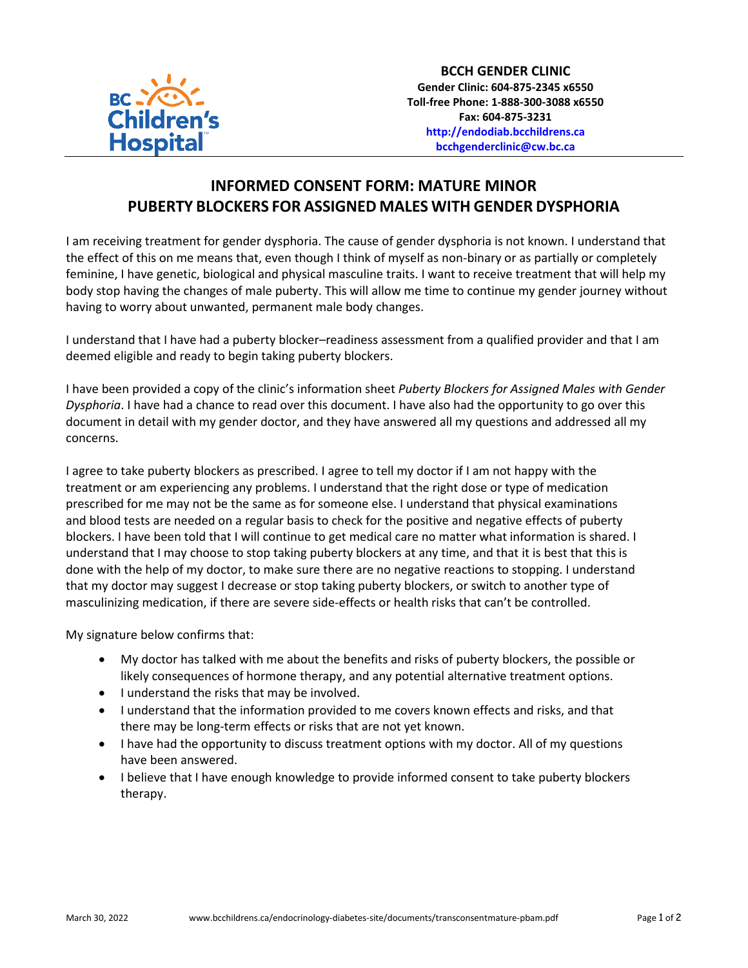

## **INFORMED CONSENT FORM: MATURE MINOR PUBERTY BLOCKERS FOR ASSIGNED MALES WITH GENDER DYSPHORIA**

I am receiving treatment for gender dysphoria. The cause of gender dysphoria is not known. I understand that the effect of this on me means that, even though I think of myself as non-binary or as partially or completely feminine, I have genetic, biological and physical masculine traits. I want to receive treatment that will help my body stop having the changes of male puberty. This will allow me time to continue my gender journey without having to worry about unwanted, permanent male body changes.

I understand that I have had a puberty blocker–readiness assessment from a qualified provider and that I am deemed eligible and ready to begin taking puberty blockers.

I have been provided a copy of the clinic's information sheet *Puberty Blockers for Assigned Males with Gender Dysphoria*. I have had a chance to read over this document. I have also had the opportunity to go over this document in detail with my gender doctor, and they have answered all my questions and addressed all my concerns.

I agree to take puberty blockers as prescribed. I agree to tell my doctor if I am not happy with the treatment or am experiencing any problems. I understand that the right dose or type of medication prescribed for me may not be the same as for someone else. I understand that physical examinations and blood tests are needed on a regular basis to check for the positive and negative effects of puberty blockers. I have been told that I will continue to get medical care no matter what information is shared. I understand that I may choose to stop taking puberty blockers at any time, and that it is best that this is done with the help of my doctor, to make sure there are no negative reactions to stopping. I understand that my doctor may suggest I decrease or stop taking puberty blockers, or switch to another type of masculinizing medication, if there are severe side-effects or health risks that can't be controlled.

My signature below confirms that:

- My doctor has talked with me about the benefits and risks of puberty blockers, the possible or likely consequences of hormone therapy, and any potential alternative treatment options.
- I understand the risks that may be involved.
- I understand that the information provided to me covers known effects and risks, and that there may be long-term effects or risks that are not yet known.
- I have had the opportunity to discuss treatment options with my doctor. All of my questions have been answered.
- I believe that I have enough knowledge to provide informed consent to take puberty blockers therapy.